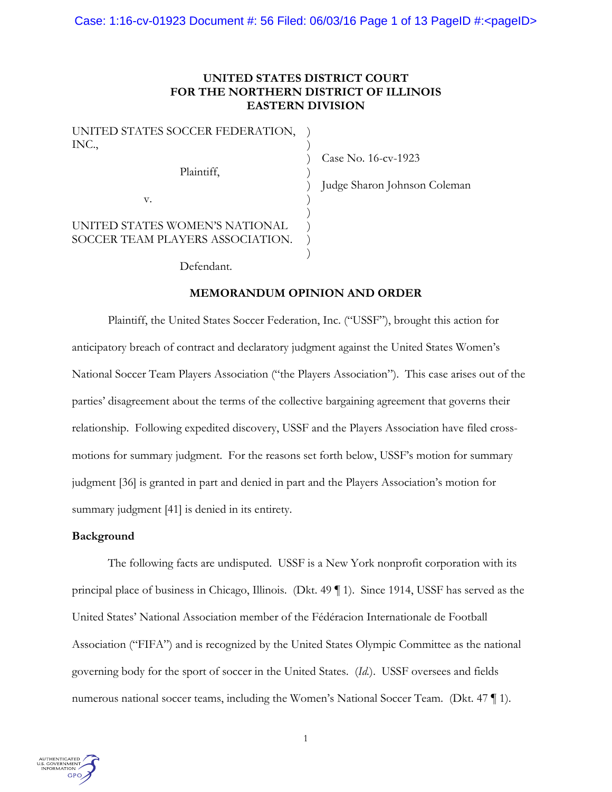# **UNITED STATES DISTRICT COURT FOR THE NORTHERN DISTRICT OF ILLINOIS EASTERN DIVISION**

| UNITED STATES SOCCER FEDERATION,<br>INC.,                          |  |
|--------------------------------------------------------------------|--|
| Plaintiff,                                                         |  |
| V.                                                                 |  |
| UNITED STATES WOMEN'S NATIONAL<br>SOCCER TEAM PLAYERS ASSOCIATION. |  |

Case No. 16-cv-1923

Judge Sharon Johnson Coleman

Defendant.

## **MEMORANDUM OPINION AND ORDER**

Plaintiff, the United States Soccer Federation, Inc. ("USSF"), brought this action for anticipatory breach of contract and declaratory judgment against the United States Women's National Soccer Team Players Association ("the Players Association"). This case arises out of the parties' disagreement about the terms of the collective bargaining agreement that governs their relationship. Following expedited discovery, USSF and the Players Association have filed crossmotions for summary judgment. For the reasons set forth below, USSF's motion for summary judgment [36] is granted in part and denied in part and the Players Association's motion for summary judgment [41] is denied in its entirety.

## **Background**

The following facts are undisputed. USSF is a New York nonprofit corporation with its principal place of business in Chicago, Illinois. (Dkt. 49 ¶ 1). Since 1914, USSF has served as the United States' National Association member of the Fédéracion Internationale de Football Association ("FIFA") and is recognized by the United States Olympic Committee as the national governing body for the sport of soccer in the United States. (*Id.*). USSF oversees and fields numerous national soccer teams, including the Women's National Soccer Team. (Dkt. 47 ¶ 1).

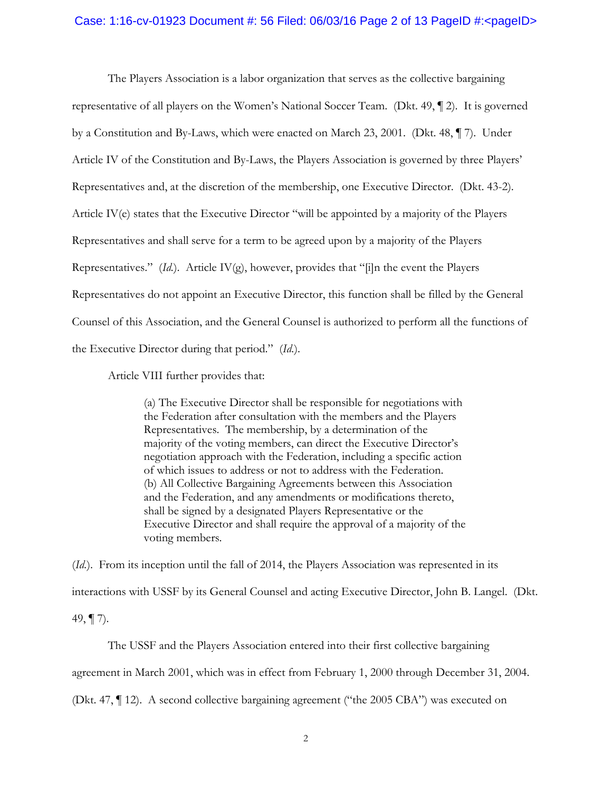#### Case:  $1:16$ -cv-01923 Document #: 56 Filed: 06/03/16 Page 2 of 13 PageID #:<pageID>

The Players Association is a labor organization that serves as the collective bargaining representative of all players on the Women's National Soccer Team. (Dkt. 49, ¶ 2). It is governed by a Constitution and By-Laws, which were enacted on March 23, 2001. (Dkt. 48, ¶ 7). Under Article IV of the Constitution and By-Laws, the Players Association is governed by three Players' Representatives and, at the discretion of the membership, one Executive Director. (Dkt. 43-2). Article IV(e) states that the Executive Director "will be appointed by a majority of the Players Representatives and shall serve for a term to be agreed upon by a majority of the Players Representatives." (*Id.*). Article IV(g), however, provides that "[i]n the event the Players Representatives do not appoint an Executive Director, this function shall be filled by the General Counsel of this Association, and the General Counsel is authorized to perform all the functions of the Executive Director during that period." (*Id.*).

Article VIII further provides that:

(a) The Executive Director shall be responsible for negotiations with the Federation after consultation with the members and the Players Representatives. The membership, by a determination of the majority of the voting members, can direct the Executive Director's negotiation approach with the Federation, including a specific action of which issues to address or not to address with the Federation. (b) All Collective Bargaining Agreements between this Association and the Federation, and any amendments or modifications thereto, shall be signed by a designated Players Representative or the Executive Director and shall require the approval of a majority of the voting members.

(*Id.*). From its inception until the fall of 2014, the Players Association was represented in its interactions with USSF by its General Counsel and acting Executive Director, John B. Langel. (Dkt. 49,  $\P$  7).

The USSF and the Players Association entered into their first collective bargaining agreement in March 2001, which was in effect from February 1, 2000 through December 31, 2004. (Dkt. 47, ¶ 12). A second collective bargaining agreement ("the 2005 CBA") was executed on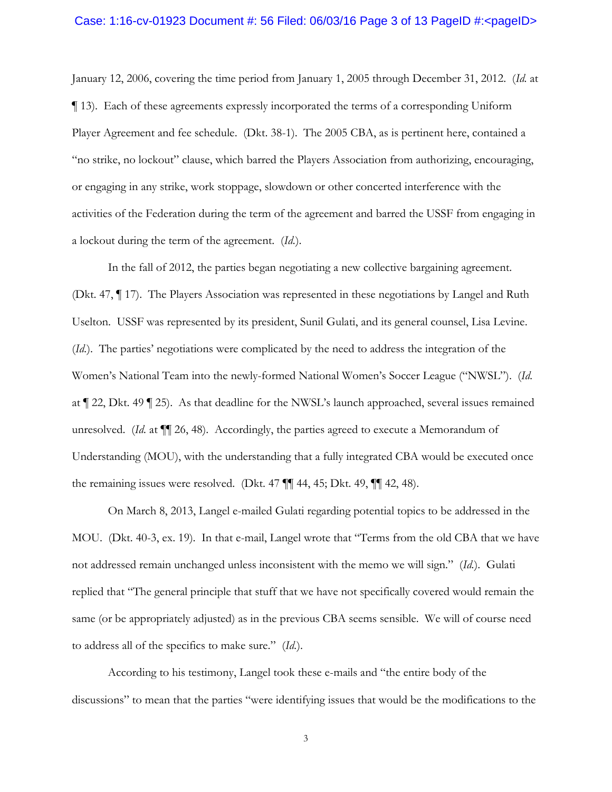#### Case: 1:16-cv-01923 Document #: 56 Filed:  $06/03/16$  Page 3 of 13 PageID #:<pageID>

January 12, 2006, covering the time period from January 1, 2005 through December 31, 2012. (*Id.* at ¶ 13). Each of these agreements expressly incorporated the terms of a corresponding Uniform Player Agreement and fee schedule. (Dkt. 38-1). The 2005 CBA, as is pertinent here, contained a "no strike, no lockout" clause, which barred the Players Association from authorizing, encouraging, or engaging in any strike, work stoppage, slowdown or other concerted interference with the activities of the Federation during the term of the agreement and barred the USSF from engaging in a lockout during the term of the agreement. (*Id.*).

In the fall of 2012, the parties began negotiating a new collective bargaining agreement. (Dkt. 47, ¶ 17). The Players Association was represented in these negotiations by Langel and Ruth Uselton. USSF was represented by its president, Sunil Gulati, and its general counsel, Lisa Levine. (*Id.*). The parties' negotiations were complicated by the need to address the integration of the Women's National Team into the newly-formed National Women's Soccer League ("NWSL"). (*Id.* at ¶ 22, Dkt. 49 ¶ 25). As that deadline for the NWSL's launch approached, several issues remained unresolved. (*Id.* at ¶¶ 26, 48). Accordingly, the parties agreed to execute a Memorandum of Understanding (MOU), with the understanding that a fully integrated CBA would be executed once the remaining issues were resolved. (Dkt. 47 ¶¶ 44, 45; Dkt. 49, ¶¶ 42, 48).

On March 8, 2013, Langel e-mailed Gulati regarding potential topics to be addressed in the MOU. (Dkt. 40-3, ex. 19). In that e-mail, Langel wrote that "Terms from the old CBA that we have not addressed remain unchanged unless inconsistent with the memo we will sign." (*Id.*). Gulati replied that "The general principle that stuff that we have not specifically covered would remain the same (or be appropriately adjusted) as in the previous CBA seems sensible. We will of course need to address all of the specifics to make sure." (*Id.*).

According to his testimony, Langel took these e-mails and "the entire body of the discussions" to mean that the parties "were identifying issues that would be the modifications to the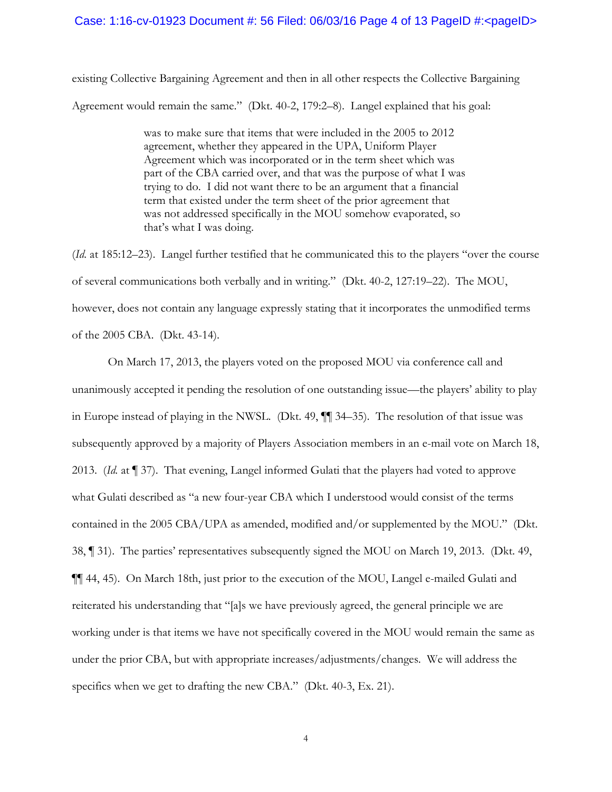#### Case: 1:16-cv-01923 Document #: 56 Filed:  $06/03/16$  Page 4 of 13 PageID #:<pageID>

existing Collective Bargaining Agreement and then in all other respects the Collective Bargaining Agreement would remain the same." (Dkt. 40-2, 179:2–8). Langel explained that his goal:

> was to make sure that items that were included in the 2005 to 2012 agreement, whether they appeared in the UPA, Uniform Player Agreement which was incorporated or in the term sheet which was part of the CBA carried over, and that was the purpose of what I was trying to do. I did not want there to be an argument that a financial term that existed under the term sheet of the prior agreement that was not addressed specifically in the MOU somehow evaporated, so that's what I was doing.

(*Id.* at 185:12–23). Langel further testified that he communicated this to the players "over the course of several communications both verbally and in writing." (Dkt. 40-2, 127:19–22). The MOU, however, does not contain any language expressly stating that it incorporates the unmodified terms of the 2005 CBA. (Dkt. 43-14).

On March 17, 2013, the players voted on the proposed MOU via conference call and unanimously accepted it pending the resolution of one outstanding issue—the players' ability to play in Europe instead of playing in the NWSL. (Dkt. 49, ¶¶ 34–35). The resolution of that issue was subsequently approved by a majority of Players Association members in an e-mail vote on March 18, 2013. (*Id.* at ¶ 37). That evening, Langel informed Gulati that the players had voted to approve what Gulati described as "a new four-year CBA which I understood would consist of the terms contained in the 2005 CBA/UPA as amended, modified and/or supplemented by the MOU." (Dkt. 38, ¶ 31). The parties' representatives subsequently signed the MOU on March 19, 2013. (Dkt. 49, ¶¶ 44, 45). On March 18th, just prior to the execution of the MOU, Langel e-mailed Gulati and reiterated his understanding that "[a]s we have previously agreed, the general principle we are working under is that items we have not specifically covered in the MOU would remain the same as under the prior CBA, but with appropriate increases/adjustments/changes. We will address the specifics when we get to drafting the new CBA." (Dkt. 40-3, Ex. 21).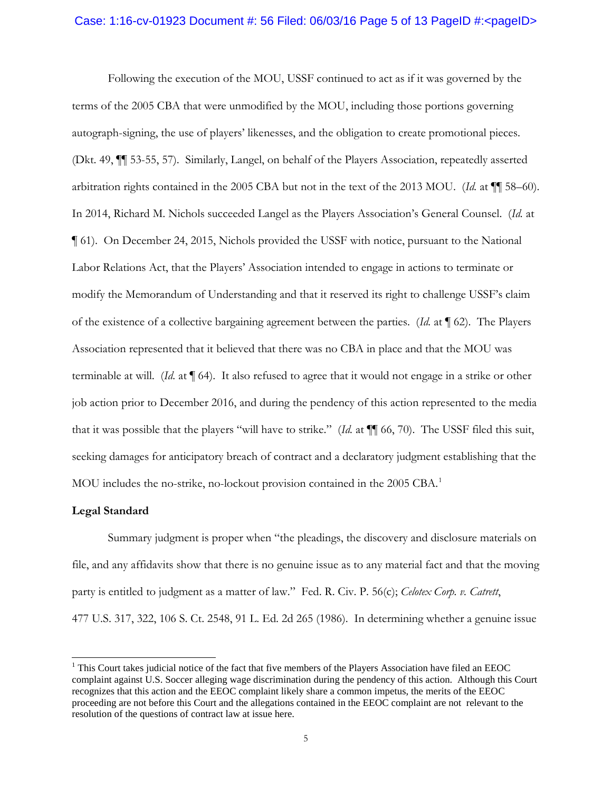#### Case: 1:16-cv-01923 Document #: 56 Filed:  $06/03/16$  Page 5 of 13 PageID #:<pageID>

Following the execution of the MOU, USSF continued to act as if it was governed by the terms of the 2005 CBA that were unmodified by the MOU, including those portions governing autograph-signing, the use of players' likenesses, and the obligation to create promotional pieces. (Dkt. 49, ¶¶ 53-55, 57). Similarly, Langel, on behalf of the Players Association, repeatedly asserted arbitration rights contained in the 2005 CBA but not in the text of the 2013 MOU. (*Id.* at ¶¶ 58–60). In 2014, Richard M. Nichols succeeded Langel as the Players Association's General Counsel. (*Id.* at ¶ 61). On December 24, 2015, Nichols provided the USSF with notice, pursuant to the National Labor Relations Act, that the Players' Association intended to engage in actions to terminate or modify the Memorandum of Understanding and that it reserved its right to challenge USSF's claim of the existence of a collective bargaining agreement between the parties. (*Id.* at ¶ 62). The Players Association represented that it believed that there was no CBA in place and that the MOU was terminable at will. (*Id.* at ¶ 64). It also refused to agree that it would not engage in a strike or other job action prior to December 2016, and during the pendency of this action represented to the media that it was possible that the players "will have to strike." (*Id.* at ¶¶ 66, 70). The USSF filed this suit, seeking damages for anticipatory breach of contract and a declaratory judgment establishing that the MOU includes the no-strike, no-lockout provision contained in the 2005 CBA. [1](#page-4-0)

## **Legal Standard**

Summary judgment is proper when "the pleadings, the discovery and disclosure materials on file, and any affidavits show that there is no genuine issue as to any material fact and that the moving party is entitled to judgment as a matter of law." Fed. R. Civ. P. 56(c); *Celotex Corp. v. Catrett*, 477 U.S. 317, 322, 106 S. Ct. 2548, 91 L. Ed. 2d 265 (1986). In determining whether a genuine issue

<span id="page-4-0"></span><sup>&</sup>lt;sup>1</sup> This Court takes judicial notice of the fact that five members of the Players Association have filed an EEOC complaint against U.S. Soccer alleging wage discrimination during the pendency of this action. Although this Court recognizes that this action and the EEOC complaint likely share a common impetus, the merits of the EEOC proceeding are not before this Court and the allegations contained in the EEOC complaint are not relevant to the resolution of the questions of contract law at issue here.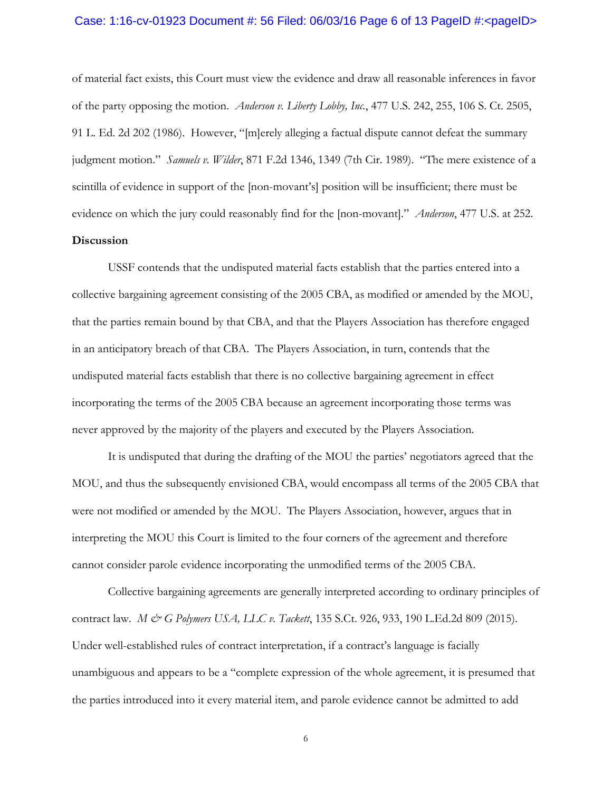#### Case: 1:16-cv-01923 Document #: 56 Filed: 06/03/16 Page 6 of 13 PageID #:<pageID>

of material fact exists, this Court must view the evidence and draw all reasonable inferences in favor of the party opposing the motion. *Anderson v. Liberty Lobby, Inc.*, 477 U.S. 242, 255, 106 S. Ct. 2505, 91 L. Ed. 2d 202 (1986). However, "[m]erely alleging a factual dispute cannot defeat the summary judgment motion." *Samuels v. Wilder*, 871 F.2d 1346, 1349 (7th Cir. 1989). "The mere existence of a scintilla of evidence in support of the [non-movant's] position will be insufficient; there must be evidence on which the jury could reasonably find for the [non-movant]." *Anderson*, 477 U.S. at 252.

## **Discussion**

USSF contends that the undisputed material facts establish that the parties entered into a collective bargaining agreement consisting of the 2005 CBA, as modified or amended by the MOU, that the parties remain bound by that CBA, and that the Players Association has therefore engaged in an anticipatory breach of that CBA. The Players Association, in turn, contends that the undisputed material facts establish that there is no collective bargaining agreement in effect incorporating the terms of the 2005 CBA because an agreement incorporating those terms was never approved by the majority of the players and executed by the Players Association.

It is undisputed that during the drafting of the MOU the parties' negotiators agreed that the MOU, and thus the subsequently envisioned CBA, would encompass all terms of the 2005 CBA that were not modified or amended by the MOU. The Players Association, however, argues that in interpreting the MOU this Court is limited to the four corners of the agreement and therefore cannot consider parole evidence incorporating the unmodified terms of the 2005 CBA.

Collective bargaining agreements are generally interpreted according to ordinary principles of contract law. *M & G Polymers USA, LLC v. Tackett*, 135 S.Ct. 926, 933, 190 L.Ed.2d 809 (2015). Under well-established rules of contract interpretation, if a contract's language is facially unambiguous and appears to be a "complete expression of the whole agreement, it is presumed that the parties introduced into it every material item, and parole evidence cannot be admitted to add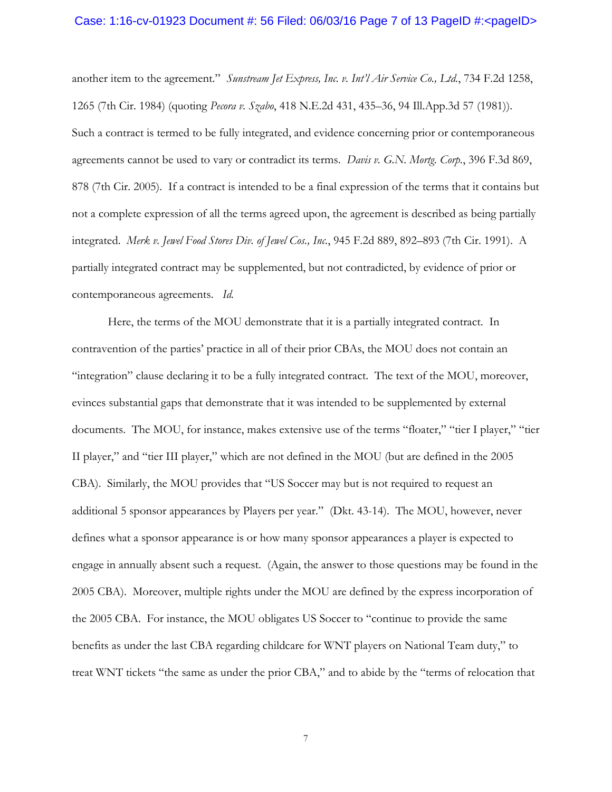#### Case: 1:16-cv-01923 Document #: 56 Filed: 06/03/16 Page 7 of 13 PageID #:<pageID>

another item to the agreement." *Sunstream Jet Express, Inc. v. Int'l Air Service Co., Ltd.*, 734 F.2d 1258, 1265 (7th Cir. 1984) (quoting *Pecora v. Szabo*, 418 N.E.2d 431, 435–36, 94 Ill.App.3d 57 (1981)). Such a contract is termed to be fully integrated, and evidence concerning prior or contemporaneous agreements cannot be used to vary or contradict its terms. *Davis v. G.N. Mortg. Corp.*, 396 F.3d 869, 878 (7th Cir. 2005). If a contract is intended to be a final expression of the terms that it contains but not a complete expression of all the terms agreed upon, the agreement is described as being partially integrated. *Merk v. Jewel Food Stores Div. of Jewel Cos., Inc.*, 945 F.2d 889, 892–893 (7th Cir. 1991). A partially integrated contract may be supplemented, but not contradicted, by evidence of prior or contemporaneous agreements. *Id.* 

Here, the terms of the MOU demonstrate that it is a partially integrated contract. In contravention of the parties' practice in all of their prior CBAs, the MOU does not contain an "integration" clause declaring it to be a fully integrated contract. The text of the MOU, moreover, evinces substantial gaps that demonstrate that it was intended to be supplemented by external documents. The MOU, for instance, makes extensive use of the terms "floater," "tier I player," "tier II player," and "tier III player," which are not defined in the MOU (but are defined in the 2005 CBA). Similarly, the MOU provides that "US Soccer may but is not required to request an additional 5 sponsor appearances by Players per year." (Dkt. 43-14). The MOU, however, never defines what a sponsor appearance is or how many sponsor appearances a player is expected to engage in annually absent such a request. (Again, the answer to those questions may be found in the 2005 CBA). Moreover, multiple rights under the MOU are defined by the express incorporation of the 2005 CBA. For instance, the MOU obligates US Soccer to "continue to provide the same benefits as under the last CBA regarding childcare for WNT players on National Team duty," to treat WNT tickets "the same as under the prior CBA," and to abide by the "terms of relocation that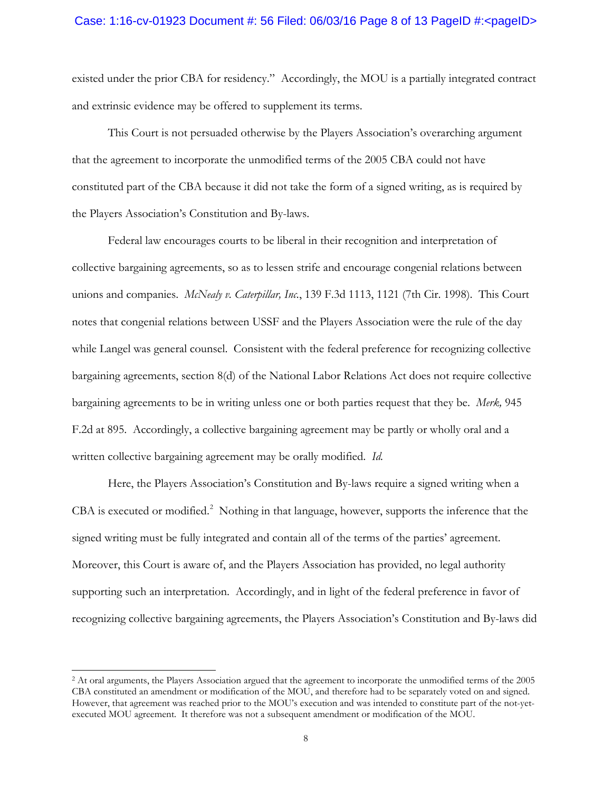#### Case: 1:16-cv-01923 Document #: 56 Filed:  $06/03/16$  Page 8 of 13 PageID #:<pageID>

existed under the prior CBA for residency." Accordingly, the MOU is a partially integrated contract and extrinsic evidence may be offered to supplement its terms.

This Court is not persuaded otherwise by the Players Association's overarching argument that the agreement to incorporate the unmodified terms of the 2005 CBA could not have constituted part of the CBA because it did not take the form of a signed writing, as is required by the Players Association's Constitution and By-laws.

Federal law encourages courts to be liberal in their recognition and interpretation of collective bargaining agreements, so as to lessen strife and encourage congenial relations between unions and companies. *McNealy v. Caterpillar, Inc.*, 139 F.3d 1113, 1121 (7th Cir. 1998). This Court notes that congenial relations between USSF and the Players Association were the rule of the day while Langel was general counsel. Consistent with the federal preference for recognizing collective bargaining agreements, section 8(d) of the National Labor Relations Act does not require collective bargaining agreements to be in writing unless one or both parties request that they be. *Merk,* 945 F.2d at 895. Accordingly, a collective bargaining agreement may be partly or wholly oral and a written collective bargaining agreement may be orally modified. *Id.*

Here, the Players Association's Constitution and By-laws require a signed writing when a CBA is executed or modified.<sup>[2](#page-7-0)</sup> Nothing in that language, however, supports the inference that the signed writing must be fully integrated and contain all of the terms of the parties' agreement. Moreover, this Court is aware of, and the Players Association has provided, no legal authority supporting such an interpretation. Accordingly, and in light of the federal preference in favor of recognizing collective bargaining agreements, the Players Association's Constitution and By-laws did

 $\overline{a}$ 

<span id="page-7-0"></span><sup>2</sup> At oral arguments, the Players Association argued that the agreement to incorporate the unmodified terms of the 2005 CBA constituted an amendment or modification of the MOU, and therefore had to be separately voted on and signed. However, that agreement was reached prior to the MOU's execution and was intended to constitute part of the not-yetexecuted MOU agreement. It therefore was not a subsequent amendment or modification of the MOU.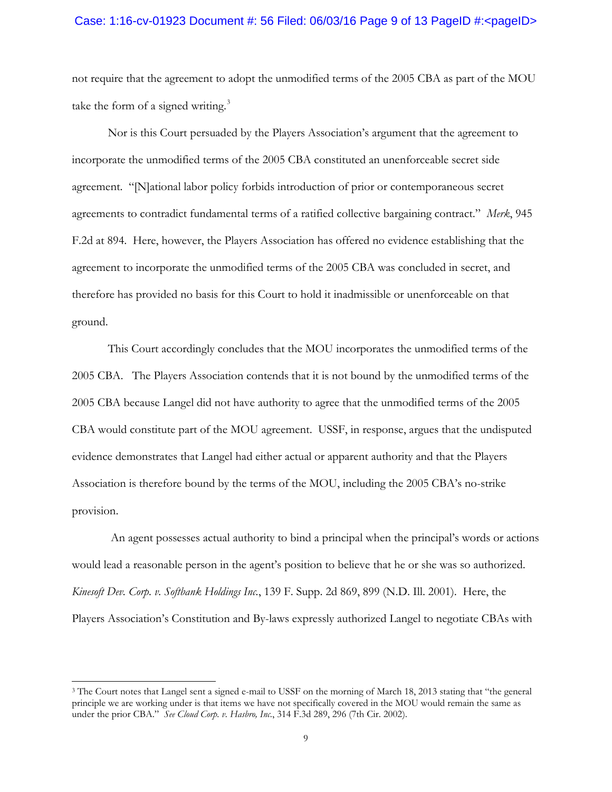#### Case: 1:16-cv-01923 Document #: 56 Filed:  $06/03/16$  Page 9 of 13 PageID #:<pageID>

not require that the agreement to adopt the unmodified terms of the 2005 CBA as part of the MOU take the form of a signed writing. $3$ 

Nor is this Court persuaded by the Players Association's argument that the agreement to incorporate the unmodified terms of the 2005 CBA constituted an unenforceable secret side agreement. "[N]ational labor policy forbids introduction of prior or contemporaneous secret agreements to contradict fundamental terms of a ratified collective bargaining contract." *Merk*, 945 F.2d at 894. Here, however, the Players Association has offered no evidence establishing that the agreement to incorporate the unmodified terms of the 2005 CBA was concluded in secret, and therefore has provided no basis for this Court to hold it inadmissible or unenforceable on that ground.

This Court accordingly concludes that the MOU incorporates the unmodified terms of the 2005 CBA. The Players Association contends that it is not bound by the unmodified terms of the 2005 CBA because Langel did not have authority to agree that the unmodified terms of the 2005 CBA would constitute part of the MOU agreement. USSF, in response, argues that the undisputed evidence demonstrates that Langel had either actual or apparent authority and that the Players Association is therefore bound by the terms of the MOU, including the 2005 CBA's no-strike provision.

An agent possesses actual authority to bind a principal when the principal's words or actions would lead a reasonable person in the agent's position to believe that he or she was so authorized. *Kinesoft Dev. Corp. v. Softbank Holdings Inc.*, 139 F. Supp. 2d 869, 899 (N.D. Ill. 2001). Here, the Players Association's Constitution and By-laws expressly authorized Langel to negotiate CBAs with

 $\overline{a}$ 

<span id="page-8-0"></span><sup>&</sup>lt;sup>3</sup> The Court notes that Langel sent a signed e-mail to USSF on the morning of March 18, 2013 stating that "the general principle we are working under is that items we have not specifically covered in the MOU would remain the same as under the prior CBA." *See Cloud Corp. v. Hasbro, Inc.*, 314 F.3d 289, 296 (7th Cir. 2002).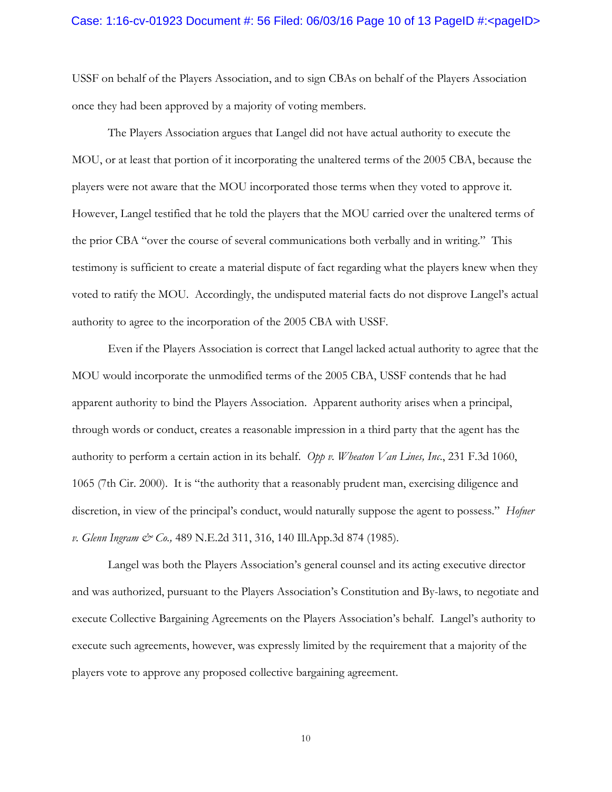#### Case: 1:16-cv-01923 Document #: 56 Filed: 06/03/16 Page 10 of 13 PageID #:<pageID>

USSF on behalf of the Players Association, and to sign CBAs on behalf of the Players Association once they had been approved by a majority of voting members.

The Players Association argues that Langel did not have actual authority to execute the MOU, or at least that portion of it incorporating the unaltered terms of the 2005 CBA, because the players were not aware that the MOU incorporated those terms when they voted to approve it. However, Langel testified that he told the players that the MOU carried over the unaltered terms of the prior CBA "over the course of several communications both verbally and in writing." This testimony is sufficient to create a material dispute of fact regarding what the players knew when they voted to ratify the MOU. Accordingly, the undisputed material facts do not disprove Langel's actual authority to agree to the incorporation of the 2005 CBA with USSF.

Even if the Players Association is correct that Langel lacked actual authority to agree that the MOU would incorporate the unmodified terms of the 2005 CBA, USSF contends that he had apparent authority to bind the Players Association. Apparent authority arises when a principal, through words or conduct, creates a reasonable impression in a third party that the agent has the authority to perform a certain action in its behalf. *Opp v. Wheaton Van Lines, Inc*., 231 F.3d 1060, 1065 (7th Cir. 2000). It is "the authority that a reasonably prudent man, exercising diligence and discretion, in view of the principal's conduct, would naturally suppose the agent to possess." *Hofner v. Glenn Ingram & Co.,* 489 N.E.2d 311, 316, 140 Ill.App.3d 874 (1985).

Langel was both the Players Association's general counsel and its acting executive director and was authorized, pursuant to the Players Association's Constitution and By-laws, to negotiate and execute Collective Bargaining Agreements on the Players Association's behalf. Langel's authority to execute such agreements, however, was expressly limited by the requirement that a majority of the players vote to approve any proposed collective bargaining agreement.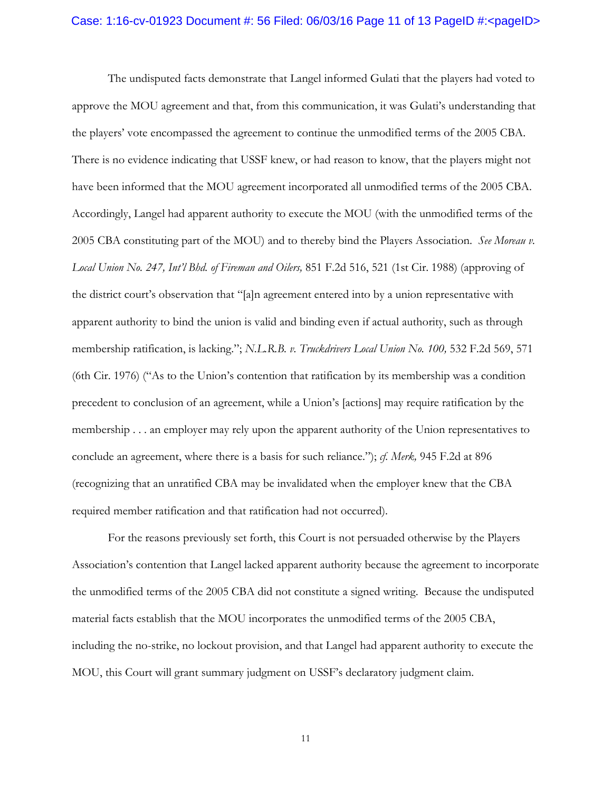#### Case: 1:16-cv-01923 Document #: 56 Filed: 06/03/16 Page 11 of 13 PageID #:<pageID>

The undisputed facts demonstrate that Langel informed Gulati that the players had voted to approve the MOU agreement and that, from this communication, it was Gulati's understanding that the players' vote encompassed the agreement to continue the unmodified terms of the 2005 CBA. There is no evidence indicating that USSF knew, or had reason to know, that the players might not have been informed that the MOU agreement incorporated all unmodified terms of the 2005 CBA. Accordingly, Langel had apparent authority to execute the MOU (with the unmodified terms of the 2005 CBA constituting part of the MOU) and to thereby bind the Players Association. *See Moreau v. Local Union No. 247, Int'l Bhd. of Fireman and Oilers,* 851 F.2d 516, 521 (1st Cir. 1988) (approving of the district court's observation that "[a]n agreement entered into by a union representative with apparent authority to bind the union is valid and binding even if actual authority, such as through membership ratification, is lacking."; *N.L.R.B. v. Truckdrivers Local Union No. 100*, 532 F.2d 569, 571 (6th Cir. 1976) ("As to the Union's contention that ratification by its membership was a condition precedent to conclusion of an agreement, while a Union's [actions] may require ratification by the membership . . . an employer may rely upon the apparent authority of the Union representatives to conclude an agreement, where there is a basis for such reliance."); *cf. Merk,* 945 F.2d at 896 (recognizing that an unratified CBA may be invalidated when the employer knew that the CBA required member ratification and that ratification had not occurred).

For the reasons previously set forth, this Court is not persuaded otherwise by the Players Association's contention that Langel lacked apparent authority because the agreement to incorporate the unmodified terms of the 2005 CBA did not constitute a signed writing. Because the undisputed material facts establish that the MOU incorporates the unmodified terms of the 2005 CBA, including the no-strike, no lockout provision, and that Langel had apparent authority to execute the MOU, this Court will grant summary judgment on USSF's declaratory judgment claim.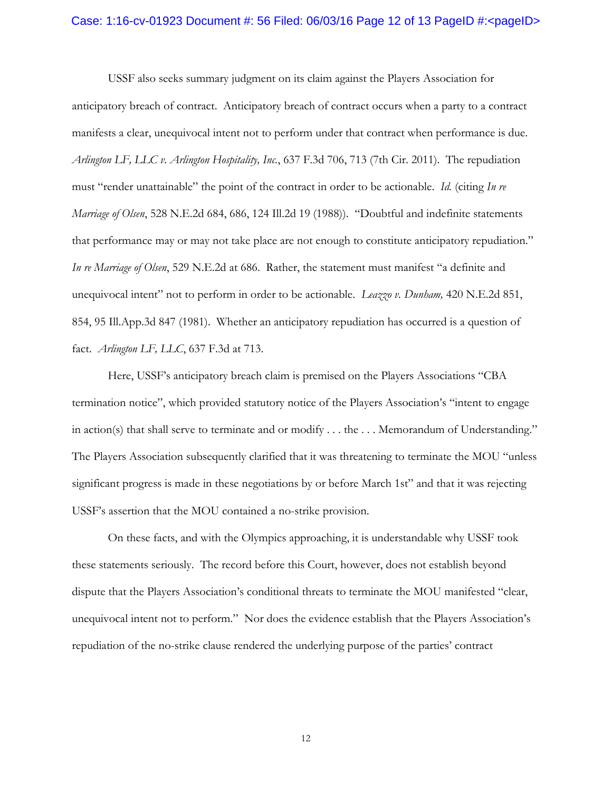#### Case: 1:16-cv-01923 Document #: 56 Filed: 06/03/16 Page 12 of 13 PageID #:<pageID>

USSF also seeks summary judgment on its claim against the Players Association for anticipatory breach of contract. Anticipatory breach of contract occurs when a party to a contract manifests a clear, unequivocal intent not to perform under that contract when performance is due. *Arlington LF, LLC v. Arlington Hospitality, Inc.*, 637 F.3d 706, 713 (7th Cir. 2011). The repudiation must "render unattainable" the point of the contract in order to be actionable. *Id.* (citing *In re Marriage of Olsen*, 528 N.E.2d 684, 686, 124 Ill.2d 19 (1988)). "Doubtful and indefinite statements that performance may or may not take place are not enough to constitute anticipatory repudiation." *In re Marriage of Olsen*, 529 N.E.2d at 686. Rather, the statement must manifest "a definite and unequivocal intent" not to perform in order to be actionable. *Leazzo v. Dunham,* 420 N.E.2d 851, 854, 95 Ill.App.3d 847 (1981). Whether an anticipatory repudiation has occurred is a question of fact. *Arlington LF, LLC*, 637 F.3d at 713.

Here, USSF's anticipatory breach claim is premised on the Players Associations "CBA termination notice", which provided statutory notice of the Players Association's "intent to engage in action(s) that shall serve to terminate and or modify . . . the . . . Memorandum of Understanding." The Players Association subsequently clarified that it was threatening to terminate the MOU "unless significant progress is made in these negotiations by or before March 1st" and that it was rejecting USSF's assertion that the MOU contained a no-strike provision.

On these facts, and with the Olympics approaching, it is understandable why USSF took these statements seriously. The record before this Court, however, does not establish beyond dispute that the Players Association's conditional threats to terminate the MOU manifested "clear, unequivocal intent not to perform." Nor does the evidence establish that the Players Association's repudiation of the no-strike clause rendered the underlying purpose of the parties' contract